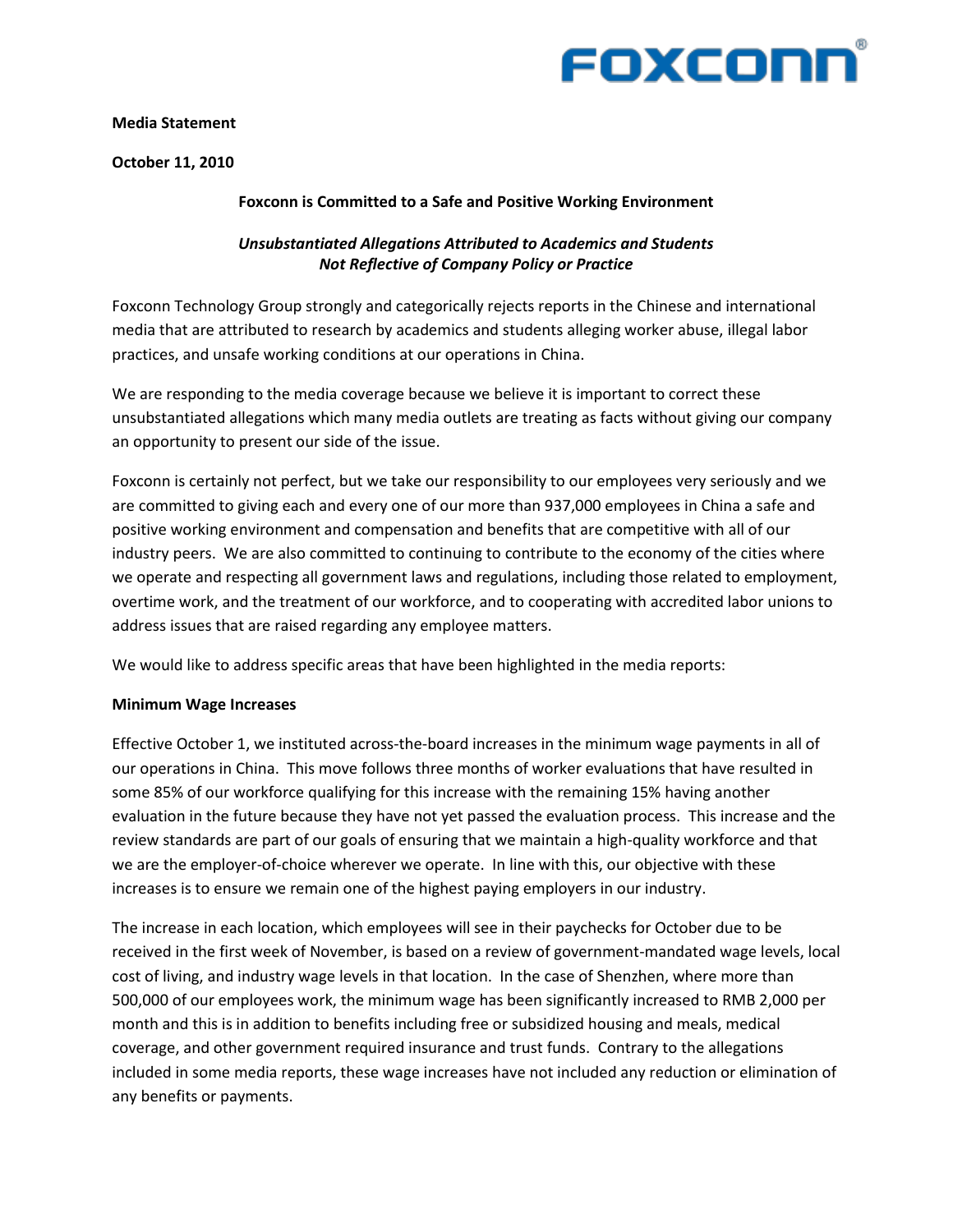

## **Media&Statement**

**October 11, 2010** 

## **Foxconn is Committed to a Safe and Positive Working Environment**

# *Unsubstantiated+Allegations+Attributed+to+Academics+and+Students+ Not+Reflective+of+Company+Policy+or+Practice*

Foxconn Technology Group strongly and categorically rejects reports in the Chinese and international media that are attributed to research by academics and students alleging worker abuse, illegal labor practices, and unsafe working conditions at our operations in China.

We are responding to the media coverage because we believe it is important to correct these unsubstantiated allegations which many media outlets are treating as facts without giving our company an opportunity to present our side of the issue.

Foxconn is certainly not perfect, but we take our responsibility to our employees very seriously and we are committed to giving each and every one of our more than 937,000 employees in China a safe and positive working environment and compensation and benefits that are competitive with all of our industry peers. We are also committed to continuing to contribute to the economy of the cities where we operate and respecting all government laws and regulations, including those related to employment, overtime work, and the treatment of our workforce, and to cooperating with accredited labor unions to address issues that are raised regarding any employee matters.

We would like to address specific areas that have been highlighted in the media reports:

#### **Minimum Wage Increases**

Effective October 1, we instituted across-the-board increases in the minimum wage payments in all of our operations in China. This move follows three months of worker evaluations that have resulted in some 85% of our workforce qualifying for this increase with the remaining 15% having another evaluation in the future because they have not yet passed the evaluation process. This increase and the review standards are part of our goals of ensuring that we maintain a high-quality workforce and that we are the employer-of-choice wherever we operate. In line with this, our objective with these increases is to ensure we remain one of the highest paying employers in our industry.

The increase in each location, which employees will see in their paychecks for October due to be received in the first week of November, is based on a review of government-mandated wage levels, local cost of living, and industry wage levels in that location. In the case of Shenzhen, where more than 500,000 of our employees work, the minimum wage has been significantly increased to RMB 2,000 per month and this is in addition to benefits including free or subsidized housing and meals, medical coverage, and other government required insurance and trust funds. Contrary to the allegations included in some media reports, these wage increases have not included any reduction or elimination of any benefits or payments.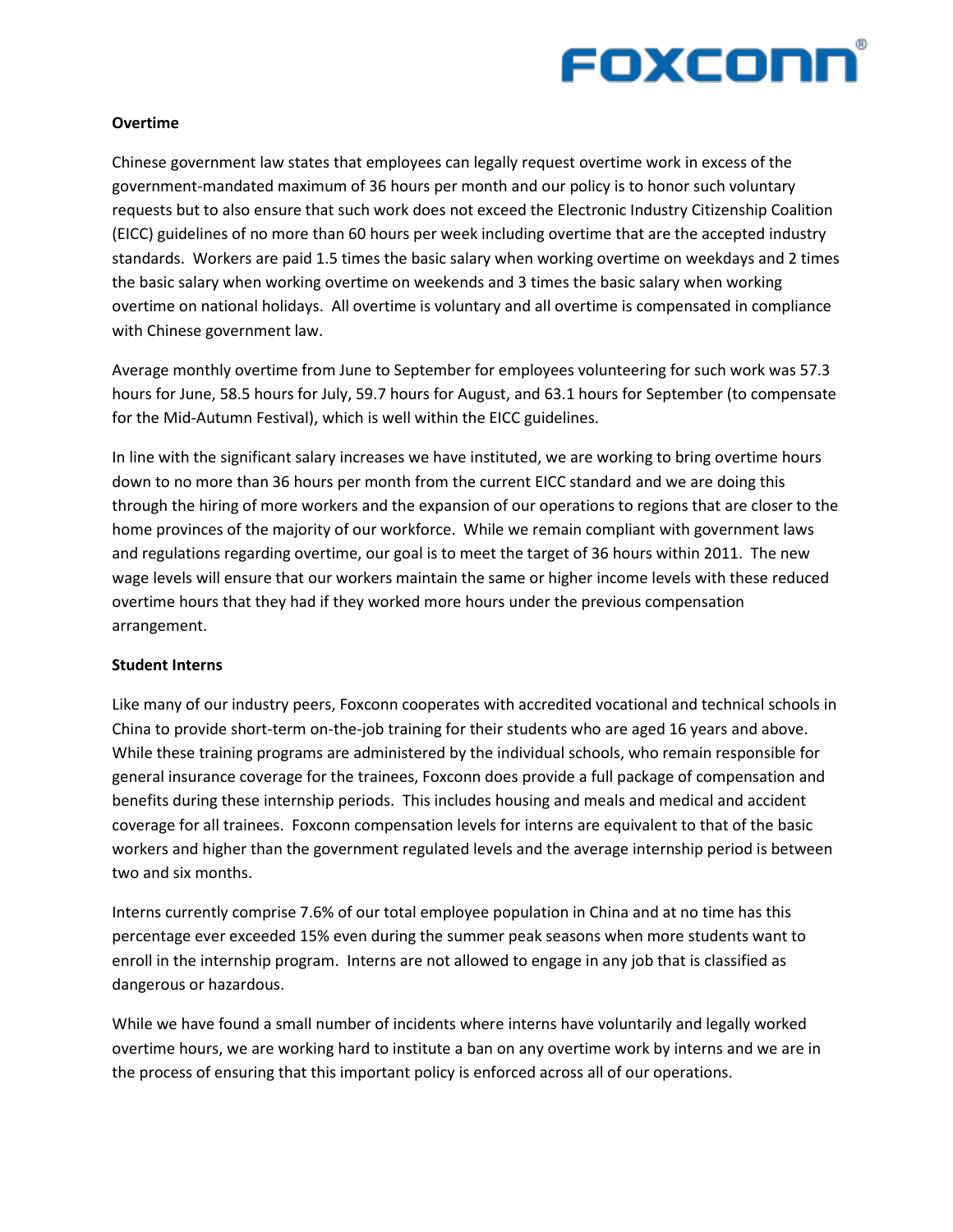

## **Overtime**

Chinese government law states that employees can legally request overtime work in excess of the government-mandated maximum of 36 hours per month and our policy is to honor such voluntary requests but to also ensure that such work does not exceed the Electronic Industry Citizenship Coalition (EICC) guidelines of no more than 60 hours per week including overtime that are the accepted industry standards. Workers are paid 1.5 times the basic salary when working overtime on weekdays and 2 times the basic salary when working overtime on weekends and 3 times the basic salary when working overtime on national holidays. All overtime is voluntary and all overtime is compensated in compliance with Chinese government law.

Average monthly overtime from June to September for employees volunteering for such work was 57.3 hours for June, 58.5 hours for July, 59.7 hours for August, and 63.1 hours for September (to compensate for the Mid-Autumn Festival), which is well within the EICC guidelines.

In line with the significant salary increases we have instituted, we are working to bring overtime hours down to no more than 36 hours per month from the current EICC standard and we are doing this through the hiring of more workers and the expansion of our operations to regions that are closer to the home provinces of the majority of our workforce. While we remain compliant with government laws and regulations regarding overtime, our goal is to meet the target of 36 hours within 2011. The new wage levels will ensure that our workers maintain the same or higher income levels with these reduced overtime hours that they had if they worked more hours under the previous compensation arrangement.

## **Student Interns**

Like many of our industry peers, Foxconn cooperates with accredited vocational and technical schools in China to provide short-term on-the-job training for their students who are aged 16 years and above. While these training programs are administered by the individual schools, who remain responsible for general insurance coverage for the trainees, Foxconn does provide a full package of compensation and benefits during these internship periods. This includes housing and meals and medical and accident coverage for all trainees. Foxconn compensation levels for interns are equivalent to that of the basic workers and higher than the government regulated levels and the average internship period is between two and six months.

Interns currently comprise 7.6% of our total employee population in China and at no time has this percentage ever exceeded 15% even during the summer peak seasons when more students want to enroll in the internship program. Interns are not allowed to engage in any job that is classified as dangerous or hazardous.

While we have found a small number of incidents where interns have voluntarily and legally worked overtime hours, we are working hard to institute a ban on any overtime work by interns and we are in the process of ensuring that this important policy is enforced across all of our operations.